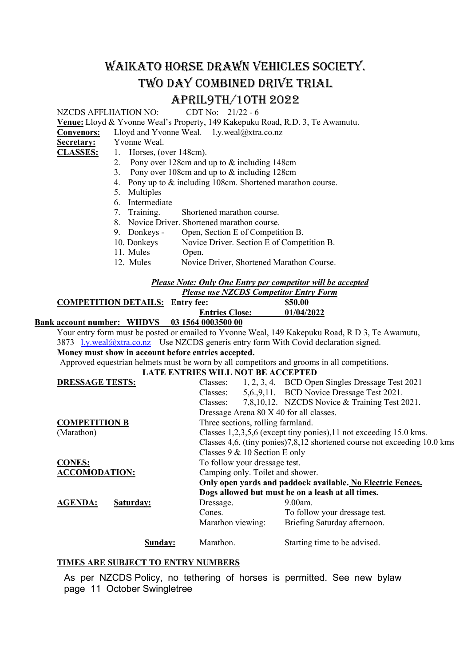# WAIKATO HORSE DRAWN VEHICLES SOCIETY. TWO DAY COMBINED DRIVE TRIAL **APRIL9TH/10TH 2022**<br>CDT No: 21/22-6

Venue: Lloyd & Yvonne Weal's Property, 149 Kakepuku Road, R.D. 3, Te Awamutu.

Convenors: Lloyd and Yvonne Weal. l.y.weal@xtra.co.nz

Secretary: Yvonne Weal.

NZCDS AFFLIIATION NO:

- CLASSES: 1. Horses, (over 148cm).
	- 2. Pony over 128cm and up to & including 148cm
	- 3. Pony over 108cm and up to & including 128cm
	- 4. Pony up to & including 108cm. Shortened marathon course.
	- 5. Multiples
	- 6. Intermediate<br>7. Training.
	- Shortened marathon course.
	- 8. Novice Driver. Shortened marathon course.
	- 9. Donkeys Open, Section E of Competition B.
	- 10. Donkeys Novice Driver. Section E of Competition B.
	- 11. Mules Open.
	- 12. Mules Novice Driver, Shortened Marathon Course.

#### Please Note: Only One Entry per competitor will be accepted

|                                        | <b>Please use NZCDS Competitor Entry Form</b> |            |  |
|----------------------------------------|-----------------------------------------------|------------|--|
| <b>COMPETITION DETAILS: Entry fee:</b> |                                               | \$50.00    |  |
|                                        | <b>Entries Close:</b>                         | 01/04/2022 |  |
| $\blacksquare$                         | 0.2.1771000270000                             |            |  |

## Bank account number: WHDVS 03 1564 0003500 00

Your entry form must be posted or emailed to Yvonne Weal, 149 Kakepuku Road, R D 3, Te Awamutu, 3873 l.y.weal@xtra.co.nz Use NZCDS generis entry form With Covid declaration signed.

Money must show in account before entries accepted.

Approved equestrian helmets must be worn by all competitors and grooms in all competitions.

#### LATE ENTRIES WILL NOT BE ACCEPTED

| <b>DRESSAGE TESTS:</b>      | Classes:                                                                 |  | 1, 2, 3, 4. BCD Open Singles Dressage Test 2021 |
|-----------------------------|--------------------------------------------------------------------------|--|-------------------------------------------------|
|                             | Classes:                                                                 |  | 5,6,9,11. BCD Novice Dressage Test 2021.        |
|                             | Classes:                                                                 |  | 7,8,10,12. NZCDS Novice & Training Test 2021.   |
|                             | Dressage Arena 80 X 40 for all classes.                                  |  |                                                 |
| <b>COMPETITION B</b>        | Three sections, rolling farmland.                                        |  |                                                 |
| (Marathon)                  | Classes 1,2,3,5,6 (except tiny ponies), 11 not exceeding 15.0 kms.       |  |                                                 |
|                             | Classes 4,6, (tiny ponies)7,8,12 shortened course not exceeding 10.0 kms |  |                                                 |
|                             | Classes 9 & 10 Section E only                                            |  |                                                 |
| <b>CONES:</b>               | To follow your dressage test.                                            |  |                                                 |
| <b>ACCOMODATION:</b>        | Camping only. Toilet and shower.                                         |  |                                                 |
|                             | Only open yards and paddock available. No Electric Fences.               |  |                                                 |
|                             | Dogs allowed but must be on a leash at all times.                        |  |                                                 |
| <b>AGENDA:</b><br>Saturday: | Dressage.                                                                |  | $9.00$ am.                                      |
|                             | Cones.                                                                   |  | To follow your dressage test.                   |
|                             | Marathon viewing:                                                        |  | Briefing Saturday afternoon.                    |
| Sunday:                     | Marathon.                                                                |  | Starting time to be advised.                    |

#### TIMES ARE SUBJECT TO ENTRY NUMBERS

As per NZCDS Policy, no tethering of horses is permitted. See new bylaw page 11 October Swingletree